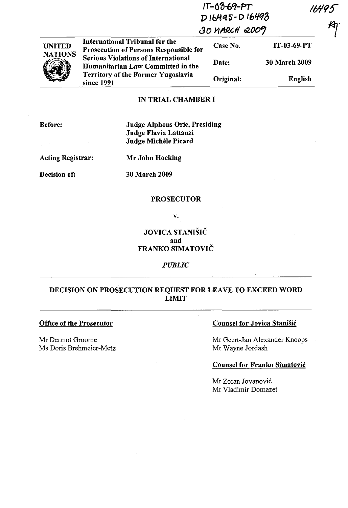|                |                                                                                 | $IT - 0.3 - 69 - PT$<br>D16495-D16493<br>30 MARCH 2009 |                      |  |
|----------------|---------------------------------------------------------------------------------|--------------------------------------------------------|----------------------|--|
| <b>UNITED</b>  | International Tribunal for the<br><b>Prosecution of Persons Responsible for</b> | Case No.                                               | IT-03-69-PT          |  |
| <b>NATIONS</b> | <b>Serious Violations of International</b><br>Humanitarian Law Committed in the | Date:                                                  | <b>30 March 2009</b> |  |
|                | <b>Territory of the Former Yugoslavia</b><br>since 1991                         | Original:                                              | English              |  |

### IN TRIAL CHAMBER I

| Before:<br>$\mathbf{r}$  | <b>Judge Alphons Orie, Presiding</b><br>Judge Flavia Lattanzi<br>Judge Michèle Picard |
|--------------------------|---------------------------------------------------------------------------------------|
| <b>Acting Registrar:</b> | Mr John Hocking                                                                       |
| Decision of:             | <b>30 March 2009</b>                                                                  |
|                          | <b>PROSECUTOR</b>                                                                     |

v.

## JOVICA STANIŠIČ and FRANKO SIMATOVIČ

### *PUBLIC*

# DECISION ON PROSECUTION REQUEST FOR LEAVE TO EXCEED WORD LIMIT

## **Office of the Prosecutor**

Mr Dermot Groome Ms Doris Brehmeier-Metz

## Counsel for Jovica Stanišić

Mr Geert-Jan Alexander Knoops Mr Wayne Jordash

#### Counsel for Franko Simatovic

Mr Zoran Jovanović Mr Vladimir Domazet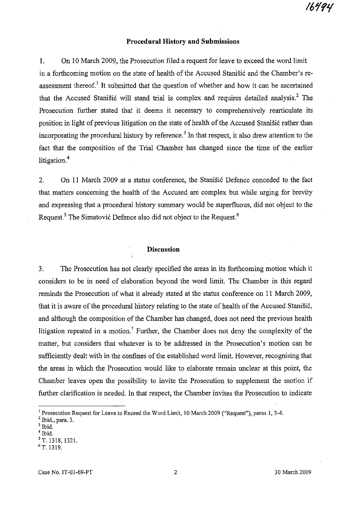#### **Procedural History and Submissions**

1. **On** 10 March 2009, the Prosecution filed a request for leave to exceed the word limit in a forthcoming motion on the state of health of the Accused Stanišić and the Chamber's reassessment thereof.<sup>1</sup> It submitted that the question of whether and how it can be ascertained that the Accused Stanišić will stand trial is complex and requires detailed analysis.<sup>2</sup> The Prosecution further stated that it deems it necessary to comprehensively rearticulate its position in light of previous litigation on the state of health of the Accused Stanišić rather than incorporating the procedural history by reference.<sup>3</sup> In that respect, it also drew attention to the fact that the composition of the Trial Chamber has changed since the time of the earlier litigation.<sup>4</sup>

2. On 11 March 2009 at a status conference, the Stanišić Defence conceded to the fact that matters concerning the health of the Accused are complex but while urging for brevity and expressing that a procedural history summary would be superfluous, did not object to the Request.<sup>5</sup> The Simatović Defence also did not object to the Request.<sup>6</sup>

#### **Discussion**

3. The Prosecution has not clearly specified the areas in its forthcoming motion which it considers to be in need of elaboration beyond the word limit. The Chamber in this regard reminds the Prosecution of what it already stated at the status conference on 11 March 2009, that it is aware of the procedural history relating to the state of health of the Accused Stanisi6, and although the composition of the Chamber has changed, does not need the previous health litigation repeated in a motion.<sup>7</sup> Further, the Chamber does not deny the complexity of the matter, but considers that whatever is to be addressed in the Prosecution's motion can be sufficiently dealt with in the confines of the established word limit. However, recognising that the areas in which the Prosecution would like to elaborate remain unclear at this point, the Chamber leaves open the possibility to invite the Prosecution to supplement the motion if further clarification is needed. In that respect, the Chamber invites the Prosecution to indicate

<sup>&</sup>lt;sup>1</sup> Prosecution Request for Leave to Exceed the Word Limit, 10 March 2009 ("Request"), paras 1, 3-4.

 $2$  Ibid., para. 3.

 $3$  Ibid.

Ibid.

sT. 1318, 1321.

P. 1319.